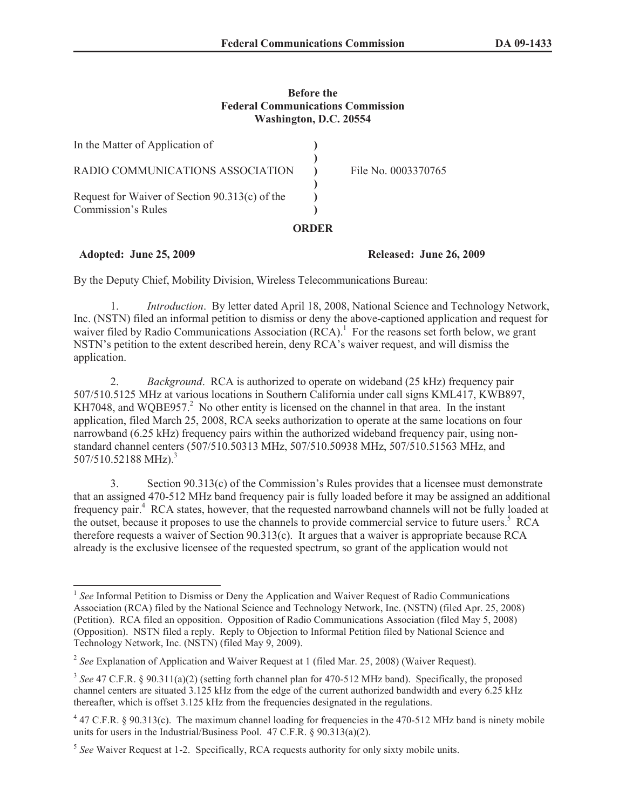## **Before the Federal Communications Commission Washington, D.C. 20554**

|                                                | ORDER |                     |
|------------------------------------------------|-------|---------------------|
| Commission's Rules                             |       |                     |
| Request for Waiver of Section 90.313(c) of the |       |                     |
|                                                |       |                     |
| RADIO COMMUNICATIONS ASSOCIATION               |       | File No. 0003370765 |
| In the Matter of Application of                |       |                     |

## **Adopted: June 25, 2009 Released: June 26, 2009**

By the Deputy Chief, Mobility Division, Wireless Telecommunications Bureau:

1. *Introduction*. By letter dated April 18, 2008, National Science and Technology Network, Inc. (NSTN) filed an informal petition to dismiss or deny the above-captioned application and request for waiver filed by Radio Communications Association (RCA).<sup>1</sup> For the reasons set forth below, we grant NSTN's petition to the extent described herein, deny RCA's waiver request, and will dismiss the application.

2. *Background*. RCA is authorized to operate on wideband (25 kHz) frequency pair 507/510.5125 MHz at various locations in Southern California under call signs KML417, KWB897, KH7048, and WQBE957. $^2$  No other entity is licensed on the channel in that area. In the instant application, filed March 25, 2008, RCA seeks authorization to operate at the same locations on four narrowband (6.25 kHz) frequency pairs within the authorized wideband frequency pair, using nonstandard channel centers (507/510.50313 MHz, 507/510.50938 MHz, 507/510.51563 MHz, and  $507/510.52188 \text{ MHz}$ .<sup>3</sup>

3. Section 90.313(c) of the Commission's Rules provides that a licensee must demonstrate that an assigned 470-512 MHz band frequency pair is fully loaded before it may be assigned an additional frequency pair.<sup>4</sup> RCA states, however, that the requested narrowband channels will not be fully loaded at the outset, because it proposes to use the channels to provide commercial service to future users.<sup>5</sup> RCA therefore requests a waiver of Section 90.313(c). It argues that a waiver is appropriate because RCA already is the exclusive licensee of the requested spectrum, so grant of the application would not

<sup>&</sup>lt;sup>1</sup> See Informal Petition to Dismiss or Deny the Application and Waiver Request of Radio Communications Association (RCA) filed by the National Science and Technology Network, Inc. (NSTN) (filed Apr. 25, 2008) (Petition). RCA filed an opposition. Opposition of Radio Communications Association (filed May 5, 2008) (Opposition). NSTN filed a reply. Reply to Objection to Informal Petition filed by National Science and Technology Network, Inc. (NSTN) (filed May 9, 2009).

<sup>&</sup>lt;sup>2</sup> See Explanation of Application and Waiver Request at 1 (filed Mar. 25, 2008) (Waiver Request).

<sup>&</sup>lt;sup>3</sup> See 47 C.F.R. § 90.311(a)(2) (setting forth channel plan for 470-512 MHz band). Specifically, the proposed channel centers are situated 3.125 kHz from the edge of the current authorized bandwidth and every 6.25 kHz thereafter, which is offset 3.125 kHz from the frequencies designated in the regulations.

 $47$  C.F.R. § 90.313(c). The maximum channel loading for frequencies in the 470-512 MHz band is ninety mobile units for users in the Industrial/Business Pool. 47 C.F.R. § 90.313(a)(2).

<sup>&</sup>lt;sup>5</sup> See Waiver Request at 1-2. Specifically, RCA requests authority for only sixty mobile units.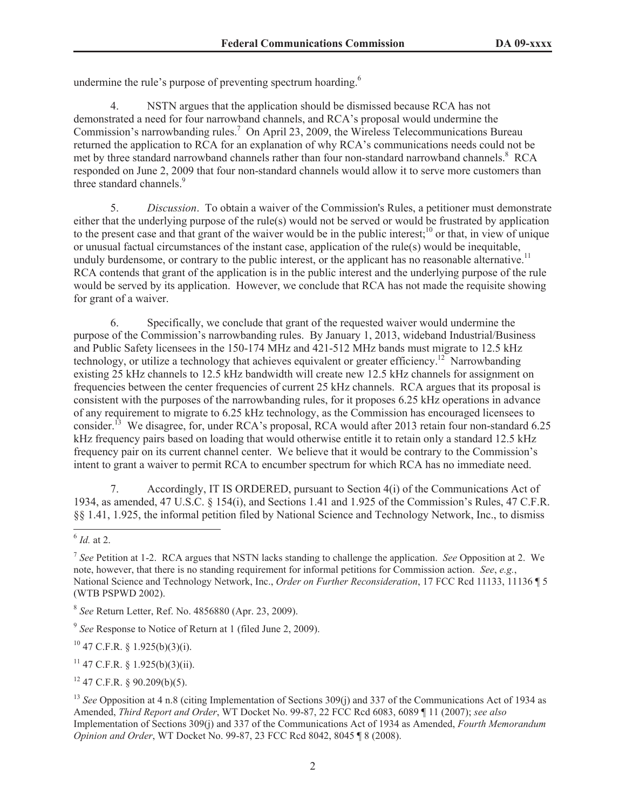undermine the rule's purpose of preventing spectrum hoarding.<sup>6</sup>

4. NSTN argues that the application should be dismissed because RCA has not demonstrated a need for four narrowband channels, and RCA's proposal would undermine the Commission's narrowbanding rules.<sup>7</sup> On April 23, 2009, the Wireless Telecommunications Bureau returned the application to RCA for an explanation of why RCA's communications needs could not be met by three standard narrowband channels rather than four non-standard narrowband channels.<sup>8</sup> RCA responded on June 2, 2009 that four non-standard channels would allow it to serve more customers than three standard channels.<sup>9</sup>

5. *Discussion*. To obtain a waiver of the Commission's Rules, a petitioner must demonstrate either that the underlying purpose of the rule(s) would not be served or would be frustrated by application to the present case and that grant of the waiver would be in the public interest;<sup>10</sup> or that, in view of unique or unusual factual circumstances of the instant case, application of the rule(s) would be inequitable, unduly burdensome, or contrary to the public interest, or the applicant has no reasonable alternative.<sup>11</sup> RCA contends that grant of the application is in the public interest and the underlying purpose of the rule would be served by its application. However, we conclude that RCA has not made the requisite showing for grant of a waiver.

6. Specifically, we conclude that grant of the requested waiver would undermine the purpose of the Commission's narrowbanding rules. By January 1, 2013, wideband Industrial/Business and Public Safety licensees in the 150-174 MHz and 421-512 MHz bands must migrate to 12.5 kHz technology, or utilize a technology that achieves equivalent or greater efficiency.<sup>12</sup> Narrowbanding existing 25 kHz channels to 12.5 kHz bandwidth will create new 12.5 kHz channels for assignment on frequencies between the center frequencies of current 25 kHz channels. RCA argues that its proposal is consistent with the purposes of the narrowbanding rules, for it proposes 6.25 kHz operations in advance of any requirement to migrate to 6.25 kHz technology, as the Commission has encouraged licensees to consider.<sup>13</sup> We disagree, for, under RCA's proposal, RCA would after 2013 retain four non-standard 6.25 kHz frequency pairs based on loading that would otherwise entitle it to retain only a standard 12.5 kHz frequency pair on its current channel center. We believe that it would be contrary to the Commission's intent to grant a waiver to permit RCA to encumber spectrum for which RCA has no immediate need.

7. Accordingly, IT IS ORDERED, pursuant to Section 4(i) of the Communications Act of 1934, as amended, 47 U.S.C. § 154(i), and Sections 1.41 and 1.925 of the Commission's Rules, 47 C.F.R. §§ 1.41, 1.925, the informal petition filed by National Science and Technology Network, Inc., to dismiss

 $10$  47 C.F.R. § 1.925(b)(3)(i).

 $11$  47 C.F.R. § 1.925(b)(3)(ii).

 $12$  47 C.F.R. § 90.209(b)(5).

<sup>6</sup> *Id.* at 2.

<sup>7</sup> *See* Petition at 1-2. RCA argues that NSTN lacks standing to challenge the application. *See* Opposition at 2. We note, however, that there is no standing requirement for informal petitions for Commission action. *See*, *e.g.*, National Science and Technology Network, Inc., *Order on Further Reconsideration*, 17 FCC Rcd 11133, 11136 ¶ 5 (WTB PSPWD 2002).

<sup>8</sup> *See* Return Letter, Ref. No. 4856880 (Apr. 23, 2009).

<sup>&</sup>lt;sup>9</sup> See Response to Notice of Return at 1 (filed June 2, 2009).

<sup>&</sup>lt;sup>13</sup> *See* Opposition at 4 n.8 (citing Implementation of Sections 309(j) and 337 of the Communications Act of 1934 as Amended, *Third Report and Order*, WT Docket No. 99-87, 22 FCC Rcd 6083, 6089 ¶ 11 (2007); *see also*  Implementation of Sections 309(j) and 337 of the Communications Act of 1934 as Amended, *Fourth Memorandum Opinion and Order*, WT Docket No. 99-87, 23 FCC Rcd 8042, 8045 ¶ 8 (2008).